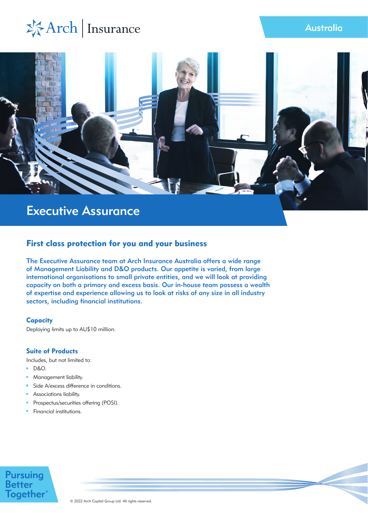# \*Arch | Insurance



## First class protection for you and your business

The Executive Assurance team at Arch Insurance Australia offers a wide range of Management Liability and D&O products. Our appetite is varied, from large international organisations to small private entities, and we will look at providing capacity on both a primary and excess basis. Our in-house team possess a wealth of expertise and experience allowing us to look at risks of any size in all industry sectors, including financial institutions.

## **Capacity**

Deploying limits up to AU\$10 million.

## Suite of Products

Includes, but not limited to:

- **D&O.**
- m. Management liability.
- Side A/excess difference in conditions.  $\mathbf{m}$
- Associations liability.  $\mathbf{r}$
- Prospectus/securities offering (POSI).  $\mathbf{r}$
- **Financial institutions.**

# **Pursuing**<br>Better **Together**